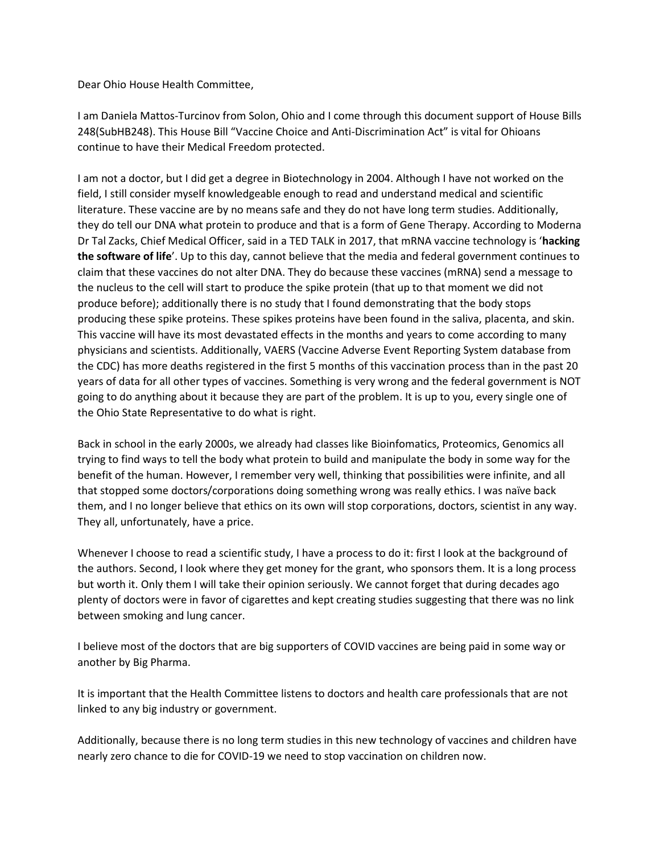Dear Ohio House Health Committee,

I am Daniela Mattos-Turcinov from Solon, Ohio and I come through this document support of House Bills 248(SubHB248). This House Bill "Vaccine Choice and Anti-Discrimination Act" is vital for Ohioans continue to have their Medical Freedom protected.

I am not a doctor, but I did get a degree in Biotechnology in 2004. Although I have not worked on the field, I still consider myself knowledgeable enough to read and understand medical and scientific literature. These vaccine are by no means safe and they do not have long term studies. Additionally, they do tell our DNA what protein to produce and that is a form of Gene Therapy. According to Moderna Dr Tal Zacks, Chief Medical Officer, said in a TED TALK in 2017, that mRNA vaccine technology is '**hacking the software of life**'. Up to this day, cannot believe that the media and federal government continues to claim that these vaccines do not alter DNA. They do because these vaccines (mRNA) send a message to the nucleus to the cell will start to produce the spike protein (that up to that moment we did not produce before); additionally there is no study that I found demonstrating that the body stops producing these spike proteins. These spikes proteins have been found in the saliva, placenta, and skin. This vaccine will have its most devastated effects in the months and years to come according to many physicians and scientists. Additionally, VAERS (Vaccine Adverse Event Reporting System database from the CDC) has more deaths registered in the first 5 months of this vaccination process than in the past 20 years of data for all other types of vaccines. Something is very wrong and the federal government is NOT going to do anything about it because they are part of the problem. It is up to you, every single one of the Ohio State Representative to do what is right.

Back in school in the early 2000s, we already had classes like Bioinfomatics, Proteomics, Genomics all trying to find ways to tell the body what protein to build and manipulate the body in some way for the benefit of the human. However, I remember very well, thinking that possibilities were infinite, and all that stopped some doctors/corporations doing something wrong was really ethics. I was naïve back them, and I no longer believe that ethics on its own will stop corporations, doctors, scientist in any way. They all, unfortunately, have a price.

Whenever I choose to read a scientific study, I have a process to do it: first I look at the background of the authors. Second, I look where they get money for the grant, who sponsors them. It is a long process but worth it. Only them I will take their opinion seriously. We cannot forget that during decades ago plenty of doctors were in favor of cigarettes and kept creating studies suggesting that there was no link between smoking and lung cancer.

I believe most of the doctors that are big supporters of COVID vaccines are being paid in some way or another by Big Pharma.

It is important that the Health Committee listens to doctors and health care professionals that are not linked to any big industry or government.

Additionally, because there is no long term studies in this new technology of vaccines and children have nearly zero chance to die for COVID-19 we need to stop vaccination on children now.